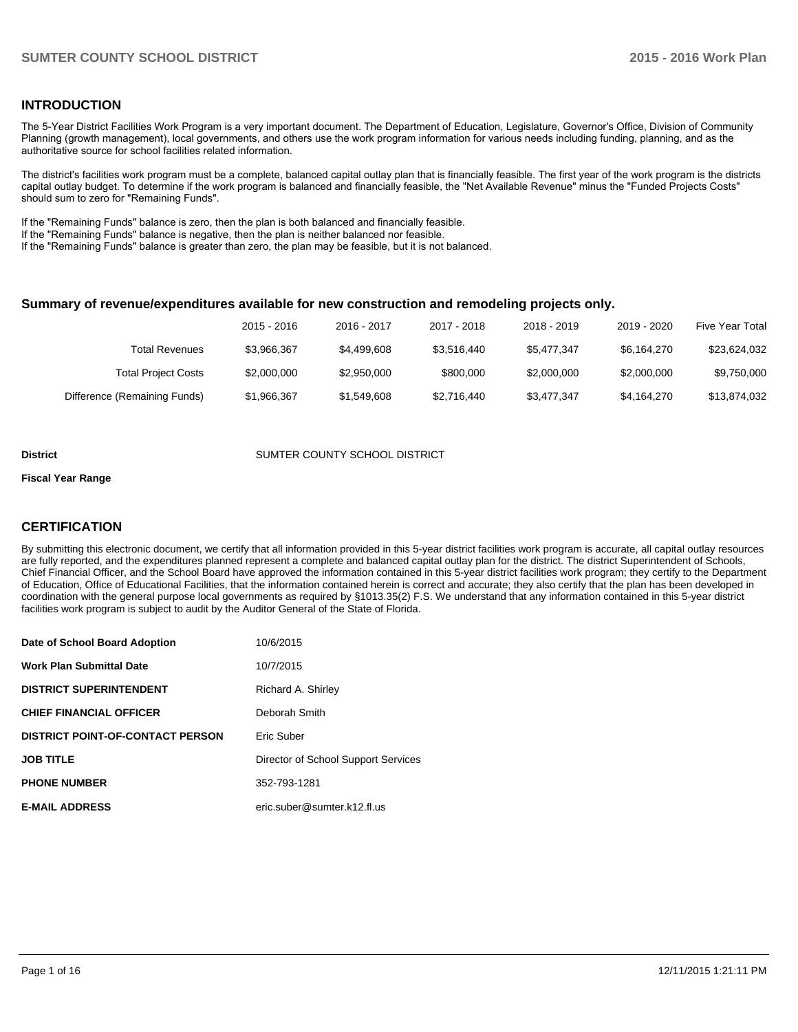# **INTRODUCTION**

The 5-Year District Facilities Work Program is a very important document. The Department of Education, Legislature, Governor's Office, Division of Community Planning (growth management), local governments, and others use the work program information for various needs including funding, planning, and as the authoritative source for school facilities related information.

The district's facilities work program must be a complete, balanced capital outlay plan that is financially feasible. The first year of the work program is the districts capital outlay budget. To determine if the work program is balanced and financially feasible, the "Net Available Revenue" minus the "Funded Projects Costs" should sum to zero for "Remaining Funds".

If the "Remaining Funds" balance is zero, then the plan is both balanced and financially feasible.

If the "Remaining Funds" balance is negative, then the plan is neither balanced nor feasible.

If the "Remaining Funds" balance is greater than zero, the plan may be feasible, but it is not balanced.

#### **Summary of revenue/expenditures available for new construction and remodeling projects only.**

|                              | 2015 - 2016 | 2016 - 2017 | 2017 - 2018 | 2018 - 2019 | 2019 - 2020 | Five Year Total |
|------------------------------|-------------|-------------|-------------|-------------|-------------|-----------------|
| <b>Total Revenues</b>        | \$3.966.367 | \$4,499,608 | \$3.516.440 | \$5.477.347 | \$6.164.270 | \$23.624.032    |
| <b>Total Project Costs</b>   | \$2,000,000 | \$2,950,000 | \$800,000   | \$2,000,000 | \$2,000,000 | \$9,750,000     |
| Difference (Remaining Funds) | \$1,966,367 | \$1,549,608 | \$2,716,440 | \$3,477,347 | \$4.164.270 | \$13,874,032    |

#### **District COUNTER COUNTY SCHOOL DISTRICT**

#### **Fiscal Year Range**

# **CERTIFICATION**

By submitting this electronic document, we certify that all information provided in this 5-year district facilities work program is accurate, all capital outlay resources are fully reported, and the expenditures planned represent a complete and balanced capital outlay plan for the district. The district Superintendent of Schools, Chief Financial Officer, and the School Board have approved the information contained in this 5-year district facilities work program; they certify to the Department of Education, Office of Educational Facilities, that the information contained herein is correct and accurate; they also certify that the plan has been developed in coordination with the general purpose local governments as required by §1013.35(2) F.S. We understand that any information contained in this 5-year district facilities work program is subject to audit by the Auditor General of the State of Florida.

| Date of School Board Adoption           | 10/6/2015                           |
|-----------------------------------------|-------------------------------------|
| <b>Work Plan Submittal Date</b>         | 10/7/2015                           |
| <b>DISTRICT SUPERINTENDENT</b>          | Richard A. Shirley                  |
| <b>CHIEF FINANCIAL OFFICER</b>          | Deborah Smith                       |
| <b>DISTRICT POINT-OF-CONTACT PERSON</b> | Eric Suber                          |
| <b>JOB TITLE</b>                        | Director of School Support Services |
| <b>PHONE NUMBER</b>                     | 352-793-1281                        |
| <b>E-MAIL ADDRESS</b>                   | eric.suber@sumter.k12.fl.us         |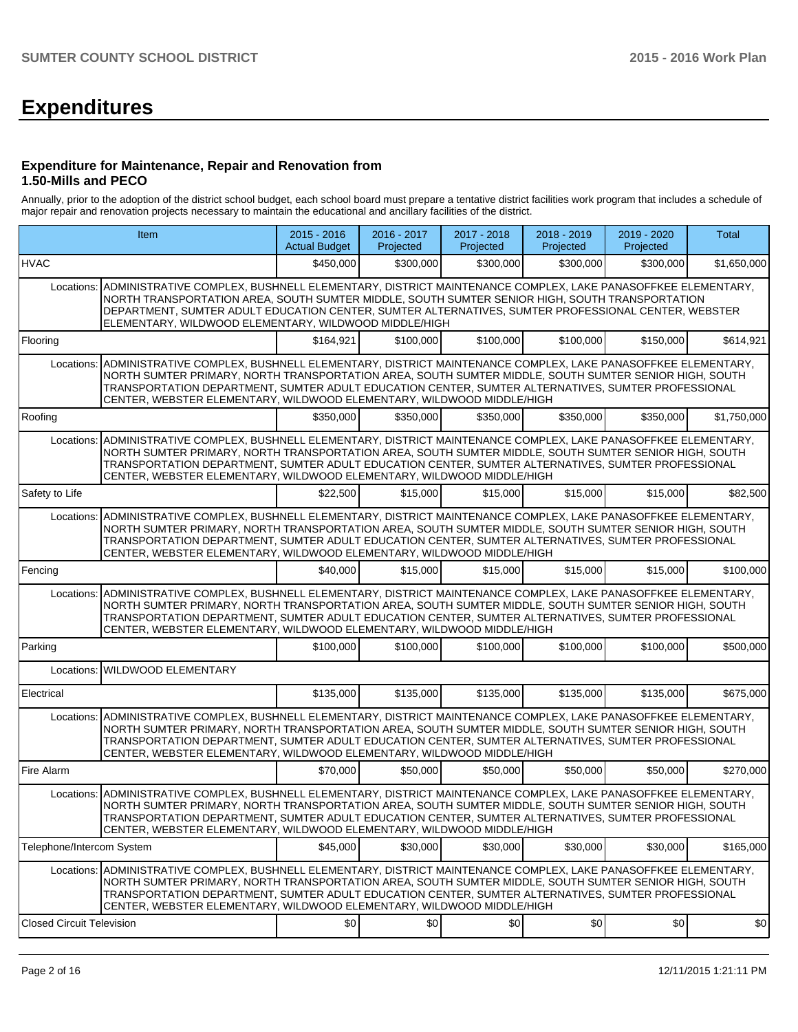# **Expenditures**

### **Expenditure for Maintenance, Repair and Renovation from 1.50-Mills and PECO**

Annually, prior to the adoption of the district school budget, each school board must prepare a tentative district facilities work program that includes a schedule of major repair and renovation projects necessary to maintain the educational and ancillary facilities of the district.

|                                  | Item                                                                                                                                                                                                                                                                                                                                                                                                       | $2015 - 2016$<br><b>Actual Budget</b> | 2016 - 2017<br>Projected | 2017 - 2018<br>Projected | 2018 - 2019<br>Projected | 2019 - 2020<br>Projected | <b>Total</b> |
|----------------------------------|------------------------------------------------------------------------------------------------------------------------------------------------------------------------------------------------------------------------------------------------------------------------------------------------------------------------------------------------------------------------------------------------------------|---------------------------------------|--------------------------|--------------------------|--------------------------|--------------------------|--------------|
| <b>HVAC</b>                      |                                                                                                                                                                                                                                                                                                                                                                                                            | \$450,000                             | \$300,000                | \$300,000                | \$300,000                | \$300,000                | \$1,650,000  |
| Locations:                       | ADMINISTRATIVE COMPLEX, BUSHNELL ELEMENTARY, DISTRICT MAINTENANCE COMPLEX, LAKE PANASOFFKEE ELEMENTARY,<br>NORTH TRANSPORTATION AREA, SOUTH SUMTER MIDDLE, SOUTH SUMTER SENIOR HIGH, SOUTH TRANSPORTATION<br>DEPARTMENT, SUMTER ADULT EDUCATION CENTER, SUMTER ALTERNATIVES, SUMTER PROFESSIONAL CENTER, WEBSTER<br>ELEMENTARY, WILDWOOD ELEMENTARY, WILDWOOD MIDDLE/HIGH                                  |                                       |                          |                          |                          |                          |              |
| Flooring                         |                                                                                                                                                                                                                                                                                                                                                                                                            | \$164,921                             | \$100,000                | \$100,000                | \$100,000                | \$150,000                | \$614,921    |
| Locations:                       | ADMINISTRATIVE COMPLEX, BUSHNELL ELEMENTARY, DISTRICT MAINTENANCE COMPLEX, LAKE PANASOFFKEE ELEMENTARY,<br>NORTH SUMTER PRIMARY, NORTH TRANSPORTATION AREA, SOUTH SUMTER MIDDLE, SOUTH SUMTER SENIOR HIGH, SOUTH<br>TRANSPORTATION DEPARTMENT, SUMTER ADULT EDUCATION CENTER, SUMTER ALTERNATIVES, SUMTER PROFESSIONAL<br>CENTER, WEBSTER ELEMENTARY, WILDWOOD ELEMENTARY, WILDWOOD MIDDLE/HIGH            |                                       |                          |                          |                          |                          |              |
| Roofing                          |                                                                                                                                                                                                                                                                                                                                                                                                            | \$350,000                             | \$350,000                | \$350,000                | \$350,000                | \$350,000                | \$1,750,000  |
| Locations:                       | ADMINISTRATIVE COMPLEX, BUSHNELL ELEMENTARY, DISTRICT MAINTENANCE COMPLEX, LAKE PANASOFFKEE ELEMENTARY,<br>NORTH SUMTER PRIMARY, NORTH TRANSPORTATION AREA, SOUTH SUMTER MIDDLE, SOUTH SUMTER SENIOR HIGH, SOUTH<br>TRANSPORTATION DEPARTMENT, SUMTER ADULT EDUCATION CENTER, SUMTER ALTERNATIVES, SUMTER PROFESSIONAL<br>CENTER, WEBSTER ELEMENTARY, WILDWOOD ELEMENTARY, WILDWOOD MIDDLE/HIGH            |                                       |                          |                          |                          |                          |              |
| Safety to Life                   |                                                                                                                                                                                                                                                                                                                                                                                                            | \$22,500                              | \$15,000                 | \$15,000                 | \$15,000                 | \$15,000                 | \$82,500     |
| Locations:                       | ADMINISTRATIVE COMPLEX, BUSHNELL ELEMENTARY, DISTRICT MAINTENANCE COMPLEX, LAKE PANASOFFKEE ELEMENTARY,<br>NORTH SUMTER PRIMARY, NORTH TRANSPORTATION AREA, SOUTH SUMTER MIDDLE, SOUTH SUMTER SENIOR HIGH, SOUTH<br>TRANSPORTATION DEPARTMENT, SUMTER ADULT EDUCATION CENTER, SUMTER ALTERNATIVES, SUMTER PROFESSIONAL<br>CENTER, WEBSTER ELEMENTARY, WILDWOOD ELEMENTARY, WILDWOOD MIDDLE/HIGH            |                                       |                          |                          |                          |                          |              |
| Fencing                          |                                                                                                                                                                                                                                                                                                                                                                                                            | \$40,000                              | \$15,000                 | \$15,000                 | \$15,000                 | \$15,000                 | \$100,000    |
| Locations:                       | ADMINISTRATIVE COMPLEX, BUSHNELL ELEMENTARY, DISTRICT MAINTENANCE COMPLEX, LAKE PANASOFFKEE ELEMENTARY,<br>NORTH SUMTER PRIMARY, NORTH TRANSPORTATION AREA, SOUTH SUMTER MIDDLE, SOUTH SUMTER SENIOR HIGH, SOUTH<br>TRANSPORTATION DEPARTMENT, SUMTER ADULT EDUCATION CENTER, SUMTER ALTERNATIVES, SUMTER PROFESSIONAL<br>CENTER, WEBSTER ELEMENTARY, WILDWOOD ELEMENTARY, WILDWOOD MIDDLE/HIGH            |                                       |                          |                          |                          |                          |              |
| Parking                          |                                                                                                                                                                                                                                                                                                                                                                                                            | \$100,000                             | \$100,000                | \$100,000                | \$100,000                | \$100,000                | \$500,000    |
|                                  | Locations: WILDWOOD ELEMENTARY                                                                                                                                                                                                                                                                                                                                                                             |                                       |                          |                          |                          |                          |              |
| Electrical                       |                                                                                                                                                                                                                                                                                                                                                                                                            | \$135,000                             | \$135,000                | \$135,000                | \$135,000                | \$135,000                | \$675,000    |
| Locations:                       | ADMINISTRATIVE COMPLEX, BUSHNELL ELEMENTARY, DISTRICT MAINTENANCE COMPLEX, LAKE PANASOFFKEE ELEMENTARY,<br>NORTH SUMTER PRIMARY, NORTH TRANSPORTATION AREA, SOUTH SUMTER MIDDLE, SOUTH SUMTER SENIOR HIGH, SOUTH<br>TRANSPORTATION DEPARTMENT, SUMTER ADULT EDUCATION CENTER, SUMTER ALTERNATIVES, SUMTER PROFESSIONAL<br>CENTER, WEBSTER ELEMENTARY, WILDWOOD ELEMENTARY, WILDWOOD MIDDLE/HIGH            |                                       |                          |                          |                          |                          |              |
| Fire Alarm                       |                                                                                                                                                                                                                                                                                                                                                                                                            | \$70,000                              | \$50,000                 | \$50,000                 | \$50,000                 | \$50,000                 | \$270.000    |
|                                  | Locations: ADMINISTRATIVE COMPLEX, BUSHNELL ELEMENTARY, DISTRICT MAINTENANCE COMPLEX, LAKE PANASOFFKEE ELEMENTARY,<br>NORTH SUMTER PRIMARY, NORTH TRANSPORTATION AREA, SOUTH SUMTER MIDDLE, SOUTH SUMTER SENIOR HIGH, SOUTH<br>TRANSPORTATION DEPARTMENT, SUMTER ADULT EDUCATION CENTER, SUMTER ALTERNATIVES, SUMTER PROFESSIONAL<br>CENTER, WEBSTER ELEMENTARY, WILDWOOD ELEMENTARY, WILDWOOD MIDDLE/HIGH |                                       |                          |                          |                          |                          |              |
| Telephone/Intercom System        |                                                                                                                                                                                                                                                                                                                                                                                                            | \$45,000                              | \$30,000                 | \$30,000                 | \$30,000                 | \$30,000                 | \$165,000    |
| Locations:                       | ADMINISTRATIVE COMPLEX, BUSHNELL ELEMENTARY, DISTRICT MAINTENANCE COMPLEX, LAKE PANASOFFKEE ELEMENTARY,<br>NORTH SUMTER PRIMARY, NORTH TRANSPORTATION AREA, SOUTH SUMTER MIDDLE, SOUTH SUMTER SENIOR HIGH, SOUTH<br>TRANSPORTATION DEPARTMENT, SUMTER ADULT EDUCATION CENTER, SUMTER ALTERNATIVES, SUMTER PROFESSIONAL<br>CENTER, WEBSTER ELEMENTARY, WILDWOOD ELEMENTARY, WILDWOOD MIDDLE/HIGH            |                                       |                          |                          |                          |                          |              |
| <b>Closed Circuit Television</b> |                                                                                                                                                                                                                                                                                                                                                                                                            | \$0                                   | \$0                      | \$0                      | \$0                      | \$0                      | \$0          |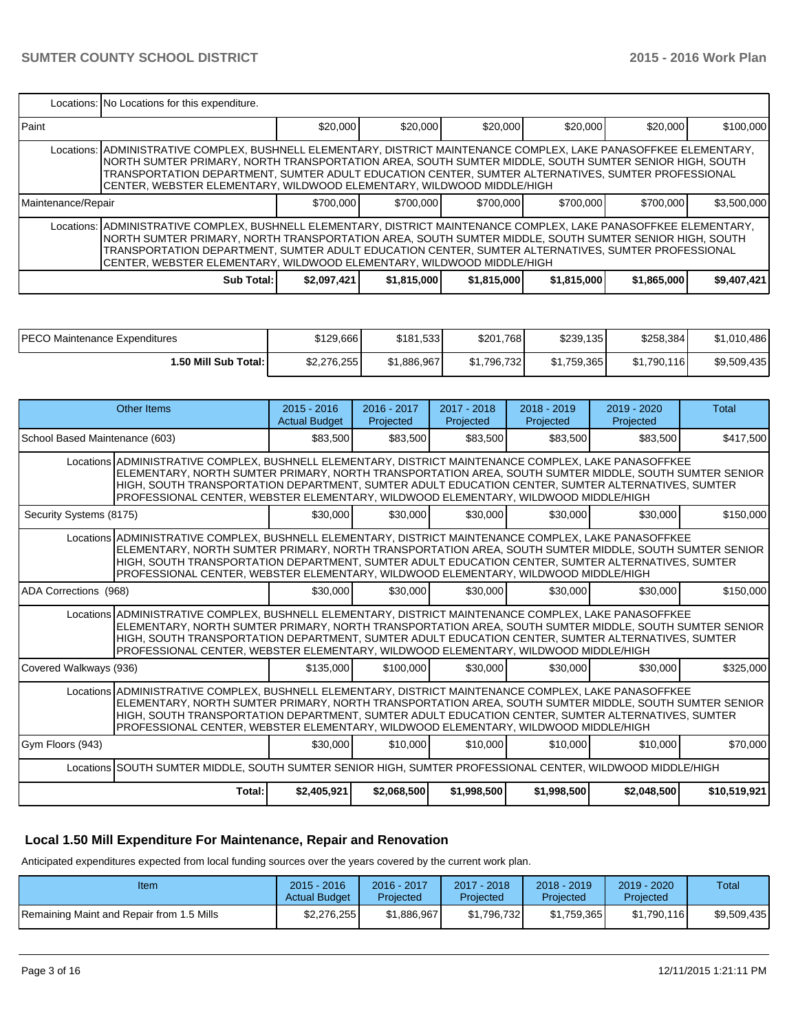|                                                                                                                                                                                                                                                                                                                                                                                                            | Locations: No Locations for this expenditure.                                                                                                                                                                                                                                                                                                                                                              |             |             |             |             |             |             |  |  |  |
|------------------------------------------------------------------------------------------------------------------------------------------------------------------------------------------------------------------------------------------------------------------------------------------------------------------------------------------------------------------------------------------------------------|------------------------------------------------------------------------------------------------------------------------------------------------------------------------------------------------------------------------------------------------------------------------------------------------------------------------------------------------------------------------------------------------------------|-------------|-------------|-------------|-------------|-------------|-------------|--|--|--|
| l Paint                                                                                                                                                                                                                                                                                                                                                                                                    |                                                                                                                                                                                                                                                                                                                                                                                                            | \$20,000    | \$20.000    | \$20,000    | \$20,000    | \$20,000    | \$100,000   |  |  |  |
|                                                                                                                                                                                                                                                                                                                                                                                                            | Locations: ADMINISTRATIVE COMPLEX, BUSHNELL ELEMENTARY, DISTRICT MAINTENANCE COMPLEX, LAKE PANASOFFKEE ELEMENTARY,<br>NORTH SUMTER PRIMARY, NORTH TRANSPORTATION AREA, SOUTH SUMTER MIDDLE, SOUTH SUMTER SENIOR HIGH, SOUTH<br>TRANSPORTATION DEPARTMENT. SUMTER ADULT EDUCATION CENTER. SUMTER ALTERNATIVES. SUMTER PROFESSIONAL<br>CENTER, WEBSTER ELEMENTARY, WILDWOOD ELEMENTARY, WILDWOOD MIDDLE/HIGH |             |             |             |             |             |             |  |  |  |
| Maintenance/Repair                                                                                                                                                                                                                                                                                                                                                                                         |                                                                                                                                                                                                                                                                                                                                                                                                            | \$700,000   | \$700,000   | \$700,000   | \$700,000   | \$700,000   | \$3,500,000 |  |  |  |
| Locations: ADMINISTRATIVE COMPLEX, BUSHNELL ELEMENTARY, DISTRICT MAINTENANCE COMPLEX, LAKE PANASOFFKEE ELEMENTARY,<br>NORTH SUMTER PRIMARY, NORTH TRANSPORTATION AREA, SOUTH SUMTER MIDDLE, SOUTH SUMTER SENIOR HIGH, SOUTH<br>TRANSPORTATION DEPARTMENT. SUMTER ADULT EDUCATION CENTER. SUMTER ALTERNATIVES. SUMTER PROFESSIONAL<br>CENTER. WEBSTER ELEMENTARY. WILDWOOD ELEMENTARY. WILDWOOD MIDDLE/HIGH |                                                                                                                                                                                                                                                                                                                                                                                                            |             |             |             |             |             |             |  |  |  |
|                                                                                                                                                                                                                                                                                                                                                                                                            | Sub Total:                                                                                                                                                                                                                                                                                                                                                                                                 | \$2,097,421 | \$1,815,000 | \$1,815,000 | \$1,815,000 | \$1,865,000 | \$9,407,421 |  |  |  |

| IPECO Maintenance Expenditures | \$129.666   | \$181.533   | \$201,768   | \$239,135   | \$258,384   | \$1,010,486 |
|--------------------------------|-------------|-------------|-------------|-------------|-------------|-------------|
| 1.50 Mill Sub Total: I         | \$2,276,255 | \$1.886.967 | \$1.796.732 | \$1,759,365 | \$1.790.116 | \$9,509,435 |

|                                                                                                                                                                                                                                                                                                                                                                                                           | <b>Other Items</b>                                                                                                                                                                                                                                                                                                                                                                                        | $2015 - 2016$<br><b>Actual Budget</b> | $2016 - 2017$<br>Projected | $2017 - 2018$<br>Projected | $2018 - 2019$<br>Projected | $2019 - 2020$<br>Projected | Total        |
|-----------------------------------------------------------------------------------------------------------------------------------------------------------------------------------------------------------------------------------------------------------------------------------------------------------------------------------------------------------------------------------------------------------|-----------------------------------------------------------------------------------------------------------------------------------------------------------------------------------------------------------------------------------------------------------------------------------------------------------------------------------------------------------------------------------------------------------|---------------------------------------|----------------------------|----------------------------|----------------------------|----------------------------|--------------|
| School Based Maintenance (603)                                                                                                                                                                                                                                                                                                                                                                            |                                                                                                                                                                                                                                                                                                                                                                                                           | \$83,500                              | \$83,500                   | \$83,500                   | \$83,500                   | \$83,500                   | \$417,500    |
| Locations ADMINISTRATIVE COMPLEX, BUSHNELL ELEMENTARY, DISTRICT MAINTENANCE COMPLEX, LAKE PANASOFFKEE<br>ELEMENTARY, NORTH SUMTER PRIMARY, NORTH TRANSPORTATION AREA, SOUTH SUMTER MIDDLE, SOUTH SUMTER SENIOR<br>HIGH, SOUTH TRANSPORTATION DEPARTMENT, SUMTER ADULT EDUCATION CENTER, SUMTER ALTERNATIVES, SUMTER<br>PROFESSIONAL CENTER, WEBSTER ELEMENTARY, WILDWOOD ELEMENTARY, WILDWOOD MIDDLE/HIGH |                                                                                                                                                                                                                                                                                                                                                                                                           |                                       |                            |                            |                            |                            |              |
| Security Systems (8175)                                                                                                                                                                                                                                                                                                                                                                                   |                                                                                                                                                                                                                                                                                                                                                                                                           | \$30,000                              | \$30,000                   | \$30,000                   | \$30,000                   | \$30,000                   | \$150,000    |
|                                                                                                                                                                                                                                                                                                                                                                                                           | Locations ADMINISTRATIVE COMPLEX, BUSHNELL ELEMENTARY, DISTRICT MAINTENANCE COMPLEX, LAKE PANASOFFKEE<br>ELEMENTARY, NORTH SUMTER PRIMARY, NORTH TRANSPORTATION AREA, SOUTH SUMTER MIDDLE, SOUTH SUMTER SENIOR<br>HIGH, SOUTH TRANSPORTATION DEPARTMENT, SUMTER ADULT EDUCATION CENTER, SUMTER ALTERNATIVES, SUMTER<br>PROFESSIONAL CENTER, WEBSTER ELEMENTARY, WILDWOOD ELEMENTARY, WILDWOOD MIDDLE/HIGH |                                       |                            |                            |                            |                            |              |
| ADA Corrections (968)                                                                                                                                                                                                                                                                                                                                                                                     |                                                                                                                                                                                                                                                                                                                                                                                                           | \$30,000                              | \$30,000                   | \$30,000                   | \$30,000                   | \$30,000                   | \$150,000    |
|                                                                                                                                                                                                                                                                                                                                                                                                           | Locations ADMINISTRATIVE COMPLEX, BUSHNELL ELEMENTARY, DISTRICT MAINTENANCE COMPLEX, LAKE PANASOFFKEE<br>ELEMENTARY, NORTH SUMTER PRIMARY, NORTH TRANSPORTATION AREA, SOUTH SUMTER MIDDLE, SOUTH SUMTER SENIOR<br>HIGH, SOUTH TRANSPORTATION DEPARTMENT, SUMTER ADULT EDUCATION CENTER, SUMTER ALTERNATIVES, SUMTER<br>PROFESSIONAL CENTER, WEBSTER ELEMENTARY, WILDWOOD ELEMENTARY, WILDWOOD MIDDLE/HIGH |                                       |                            |                            |                            |                            |              |
| Covered Walkways (936)                                                                                                                                                                                                                                                                                                                                                                                    |                                                                                                                                                                                                                                                                                                                                                                                                           | \$135,000                             | \$100,000                  | \$30,000                   | \$30,000                   | \$30,000                   | \$325,000    |
|                                                                                                                                                                                                                                                                                                                                                                                                           | Locations ADMINISTRATIVE COMPLEX, BUSHNELL ELEMENTARY, DISTRICT MAINTENANCE COMPLEX, LAKE PANASOFFKEE<br>ELEMENTARY, NORTH SUMTER PRIMARY, NORTH TRANSPORTATION AREA, SOUTH SUMTER MIDDLE, SOUTH SUMTER SENIOR<br>HIGH, SOUTH TRANSPORTATION DEPARTMENT, SUMTER ADULT EDUCATION CENTER, SUMTER ALTERNATIVES, SUMTER<br>PROFESSIONAL CENTER, WEBSTER ELEMENTARY, WILDWOOD ELEMENTARY, WILDWOOD MIDDLE/HIGH |                                       |                            |                            |                            |                            |              |
| Gym Floors (943)                                                                                                                                                                                                                                                                                                                                                                                          |                                                                                                                                                                                                                                                                                                                                                                                                           | \$30,000                              | \$10,000                   | \$10,000                   | \$10,000                   | \$10,000                   | \$70,000     |
|                                                                                                                                                                                                                                                                                                                                                                                                           | Locations SOUTH SUMTER MIDDLE, SOUTH SUMTER SENIOR HIGH, SUMTER PROFESSIONAL CENTER, WILDWOOD MIDDLE/HIGH                                                                                                                                                                                                                                                                                                 |                                       |                            |                            |                            |                            |              |
|                                                                                                                                                                                                                                                                                                                                                                                                           | Total:                                                                                                                                                                                                                                                                                                                                                                                                    | \$2,405,921                           | \$2,068,500                | \$1,998,500                | \$1,998,500                | \$2,048,500                | \$10,519,921 |

# **Local 1.50 Mill Expenditure For Maintenance, Repair and Renovation**

Anticipated expenditures expected from local funding sources over the years covered by the current work plan.

| Item                                              | $2015 - 2016$<br><b>Actual Budget</b> | $2016 - 2017$<br>Projected | $2017 - 2018$<br>Projected | $2018 - 2019$<br>Projected | $2019 - 2020$<br>Projected | Total       |
|---------------------------------------------------|---------------------------------------|----------------------------|----------------------------|----------------------------|----------------------------|-------------|
| <b>IRemaining Maint and Repair from 1.5 Mills</b> | \$2,276,255                           | \$1.886.967                | \$1.796.732                | \$1.759.365                | \$1.790.116                | \$9,509,435 |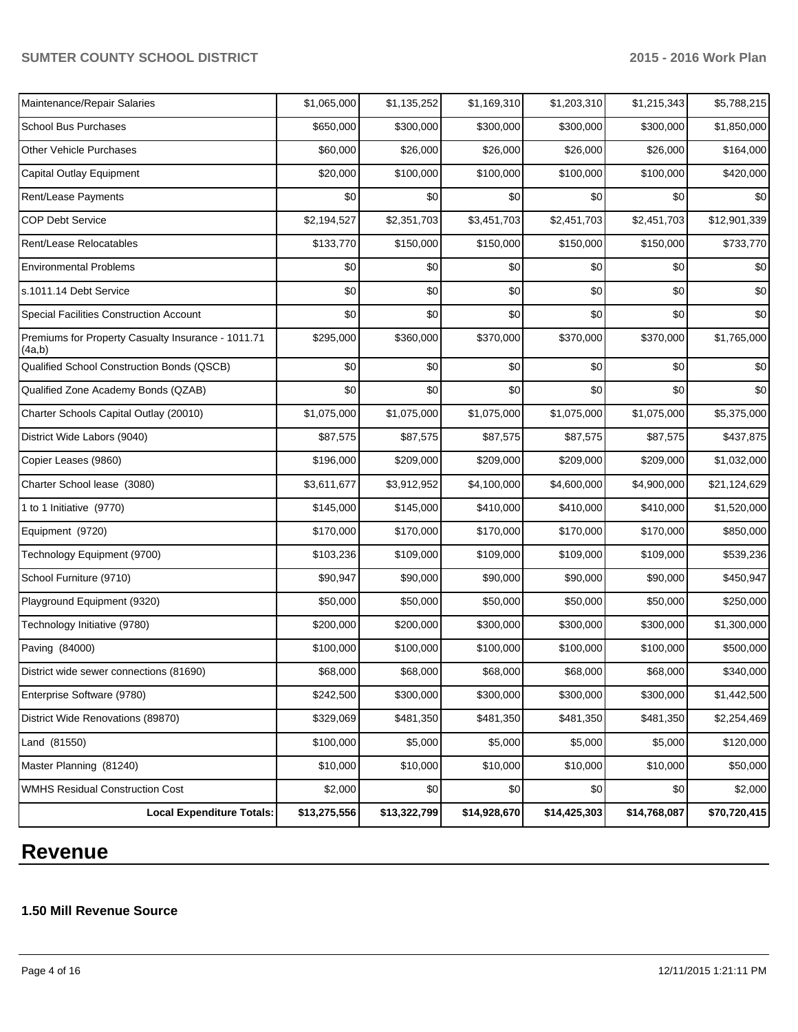# **SUMTER COUNTY SCHOOL DISTRICT 2015 - 2016 Work Plan**

| <b>Local Expenditure Totals:</b>                             | \$13,275,556 | \$13,322,799 | \$14,928,670 | \$14,425,303 | \$14,768,087 | \$70,720,415 |
|--------------------------------------------------------------|--------------|--------------|--------------|--------------|--------------|--------------|
| <b>WMHS Residual Construction Cost</b>                       | \$2,000      | \$0          | \$0          | \$0          | \$0          | \$2,000      |
| Master Planning (81240)                                      | \$10,000     | \$10,000     | \$10,000     | \$10,000     | \$10,000     | \$50,000     |
| Land (81550)                                                 | \$100,000    | \$5,000      | \$5,000      | \$5,000      | \$5,000      | \$120,000    |
| District Wide Renovations (89870)                            | \$329,069    | \$481,350    | \$481,350    | \$481,350    | \$481,350    | \$2,254,469  |
| Enterprise Software (9780)                                   | \$242,500    | \$300,000    | \$300,000    | \$300,000    | \$300,000    | \$1,442,500  |
| District wide sewer connections (81690)                      | \$68,000     | \$68,000     | \$68,000     | \$68,000     | \$68,000     | \$340,000    |
| Paving (84000)                                               | \$100,000    | \$100,000    | \$100,000    | \$100,000    | \$100,000    | \$500,000    |
| Technology Initiative (9780)                                 | \$200,000    | \$200,000    | \$300,000    | \$300,000    | \$300,000    | \$1,300,000  |
| Playground Equipment (9320)                                  | \$50,000     | \$50,000     | \$50,000     | \$50,000     | \$50,000     | \$250,000    |
| School Furniture (9710)                                      | \$90,947     | \$90,000     | \$90,000     | \$90,000     | \$90,000     | \$450,947    |
| Technology Equipment (9700)                                  | \$103,236    | \$109,000    | \$109,000    | \$109,000    | \$109,000    | \$539,236    |
| Equipment (9720)                                             | \$170,000    | \$170,000    | \$170,000    | \$170,000    | \$170,000    | \$850,000    |
| 1 to 1 Initiative (9770)                                     | \$145,000    | \$145,000    | \$410,000    | \$410,000    | \$410,000    | \$1,520,000  |
| Charter School lease (3080)                                  | \$3,611,677  | \$3,912,952  | \$4,100,000  | \$4,600,000  | \$4,900,000  | \$21,124,629 |
| Copier Leases (9860)                                         | \$196,000    | \$209,000    | \$209,000    | \$209,000    | \$209,000    | \$1,032,000  |
| District Wide Labors (9040)                                  | \$87,575     | \$87,575     | \$87,575     | \$87,575     | \$87,575     | \$437,875    |
| Charter Schools Capital Outlay (20010)                       | \$1,075,000  | \$1,075,000  | \$1,075,000  | \$1,075,000  | \$1,075,000  | \$5,375,000  |
| Qualified Zone Academy Bonds (QZAB)                          | \$0          | \$0          | \$0          | \$0          | \$0          | \$0          |
| Qualified School Construction Bonds (QSCB)                   | \$0          | \$0          | \$0          | \$0          | \$0          | \$0          |
| Premiums for Property Casualty Insurance - 1011.71<br>(4a,b) | \$295,000    | \$360,000    | \$370,000    | \$370,000    | \$370,000    | \$1,765,000  |
| Special Facilities Construction Account                      | \$0          | \$0          | \$0          | \$0          | \$0          | \$0          |
| s.1011.14 Debt Service                                       | \$0          | \$0          | \$0          | \$0          | \$0          | \$0          |
| <b>Environmental Problems</b>                                | \$0          | \$0          | \$0          | \$0          | \$0          | \$0          |
| Rent/Lease Relocatables                                      | \$133,770    | \$150,000    | \$150,000    | \$150,000    | \$150,000    | \$733,770    |
| <b>COP Debt Service</b>                                      | \$2,194,527  | \$2,351,703  | \$3,451,703  | \$2,451,703  | \$2,451,703  | \$12,901,339 |
| Rent/Lease Payments                                          | \$0          | \$0          | \$0          | \$0          | \$0          | \$0          |
| Capital Outlay Equipment                                     | \$20,000     | \$100,000    | \$100,000    | \$100,000    | \$100,000    | \$420,000    |
| Other Vehicle Purchases                                      | \$60,000     | \$26,000     | \$26,000     | \$26,000     | \$26,000     | \$164,000    |
| <b>School Bus Purchases</b>                                  | \$650,000    | \$300,000    | \$300,000    | \$300,000    | \$300,000    | \$1,850,000  |
| Maintenance/Repair Salaries                                  | \$1,065,000  | \$1,135,252  | \$1,169,310  | \$1,203,310  | \$1,215,343  | \$5,788,215  |

# **Revenue**

# **1.50 Mill Revenue Source**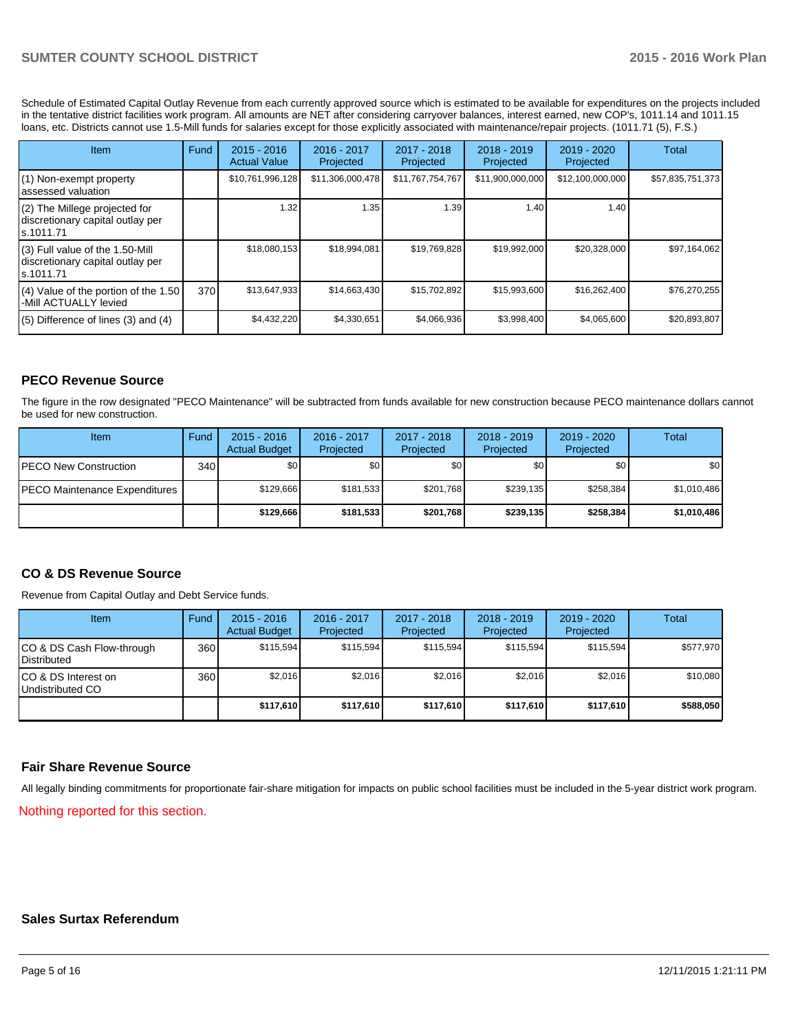Schedule of Estimated Capital Outlay Revenue from each currently approved source which is estimated to be available for expenditures on the projects included in the tentative district facilities work program. All amounts are NET after considering carryover balances, interest earned, new COP's, 1011.14 and 1011.15 loans, etc. Districts cannot use 1.5-Mill funds for salaries except for those explicitly associated with maintenance/repair projects. (1011.71 (5), F.S.)

| Item                                                                                | Fund | $2015 - 2016$<br><b>Actual Value</b> | $2016 - 2017$<br>Projected | $2017 - 2018$<br>Projected | $2018 - 2019$<br>Projected | $2019 - 2020$<br>Projected | Total            |
|-------------------------------------------------------------------------------------|------|--------------------------------------|----------------------------|----------------------------|----------------------------|----------------------------|------------------|
| (1) Non-exempt property<br>lassessed valuation                                      |      | \$10,761,996,128                     | \$11,306,000,478           | \$11,767,754,767           | \$11,900,000,000           | \$12,100,000,000           | \$57,835,751,373 |
| (2) The Millege projected for<br>discretionary capital outlay per<br>ls.1011.71     |      | 1.32                                 | 1.35                       | 1.39 <sub>1</sub>          | 1.40                       | 1.40                       |                  |
| $(3)$ Full value of the 1.50-Mill<br>discretionary capital outlay per<br>ls.1011.71 |      | \$18,080,153                         | \$18,994,081               | \$19,769,828               | \$19,992,000               | \$20,328,000               | \$97,164,062     |
| $(4)$ Value of the portion of the 1.50<br>-Mill ACTUALLY levied                     | 370  | \$13,647,933                         | \$14,663,430               | \$15,702,892               | \$15,993,600               | \$16,262,400               | \$76,270,255     |
| $(5)$ Difference of lines $(3)$ and $(4)$                                           |      | \$4,432,220                          | \$4,330,651                | \$4,066,936                | \$3,998,400                | \$4,065,600                | \$20,893,807     |

# **PECO Revenue Source**

The figure in the row designated "PECO Maintenance" will be subtracted from funds available for new construction because PECO maintenance dollars cannot be used for new construction.

| Item                                  | Fund | $2015 - 2016$<br><b>Actual Budget</b> | 2016 - 2017<br>Projected | 2017 - 2018<br>Projected | $2018 - 2019$<br>Projected | $2019 - 2020$<br>Projected | Total       |
|---------------------------------------|------|---------------------------------------|--------------------------|--------------------------|----------------------------|----------------------------|-------------|
| <b>IPECO New Construction</b>         | 340  | \$0                                   | \$0 <sub>1</sub>         | \$0                      | \$OI                       | \$0                        | \$0         |
| <b>IPECO Maintenance Expenditures</b> |      | \$129.666                             | \$181,533                | \$201.768                | \$239.135                  | \$258,384                  | \$1,010,486 |
|                                       |      | \$129,666                             | \$181.533                | \$201.768                | \$239.135                  | \$258,384                  | \$1,010,486 |

# **CO & DS Revenue Source**

Revenue from Capital Outlay and Debt Service funds.

| Item                                               | Fund | $2015 - 2016$<br><b>Actual Budget</b> | 2016 - 2017<br>Projected | 2017 - 2018<br>Projected | $2018 - 2019$<br>Projected | $2019 - 2020$<br>Projected | Total     |
|----------------------------------------------------|------|---------------------------------------|--------------------------|--------------------------|----------------------------|----------------------------|-----------|
| ICO & DS Cash Flow-through<br><b>I</b> Distributed | 360  | \$115.594                             | \$115.594                | \$115.594                | \$115.594                  | \$115.594                  | \$577,970 |
| ICO & DS Interest on<br>Undistributed CO           | 360  | \$2,016                               | \$2,016                  | \$2,016                  | \$2.016                    | \$2,016                    | \$10,080  |
|                                                    |      | \$117,610                             | \$117.610                | \$117.610                | \$117.610                  | \$117,610                  | \$588,050 |

# **Fair Share Revenue Source**

Nothing reported for this section. All legally binding commitments for proportionate fair-share mitigation for impacts on public school facilities must be included in the 5-year district work program.

### **Sales Surtax Referendum**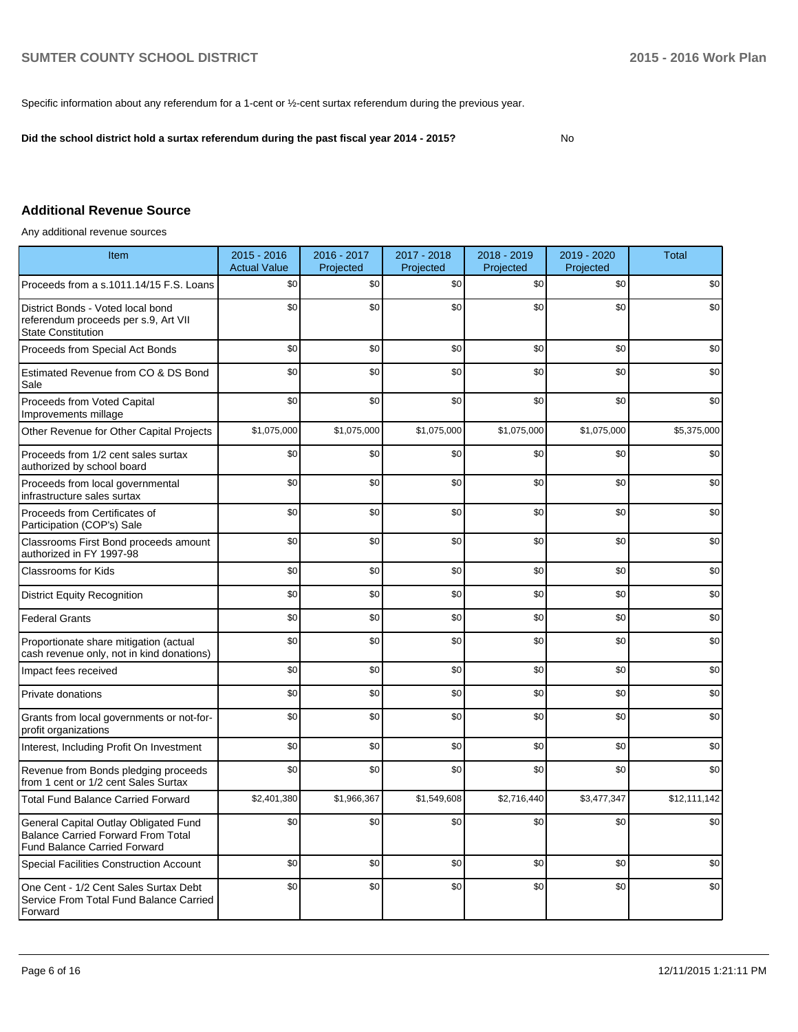Specific information about any referendum for a 1-cent or ½-cent surtax referendum during the previous year.

**Did the school district hold a surtax referendum during the past fiscal year 2014 - 2015?**

No

# **Additional Revenue Source**

Any additional revenue sources

| Item                                                                                                                      | 2015 - 2016<br><b>Actual Value</b> | $2016 - 2017$<br>Projected | 2017 - 2018<br>Projected | 2018 - 2019<br>Projected | 2019 - 2020<br>Projected | <b>Total</b> |
|---------------------------------------------------------------------------------------------------------------------------|------------------------------------|----------------------------|--------------------------|--------------------------|--------------------------|--------------|
| Proceeds from a s.1011.14/15 F.S. Loans                                                                                   | \$0                                | \$0                        | \$0                      | \$0                      | \$0                      | \$0          |
| District Bonds - Voted local bond<br>referendum proceeds per s.9, Art VII<br><b>State Constitution</b>                    | \$0                                | \$0                        | \$0                      | \$0                      | \$0                      | \$0          |
| Proceeds from Special Act Bonds                                                                                           | \$0                                | \$0                        | \$0                      | \$0                      | \$0                      | \$0          |
| Estimated Revenue from CO & DS Bond<br>Sale                                                                               | \$0                                | \$0                        | \$0                      | \$0                      | \$0                      | \$0          |
| Proceeds from Voted Capital<br>Improvements millage                                                                       | \$0                                | \$0                        | \$0                      | \$0                      | \$0                      | \$0          |
| Other Revenue for Other Capital Projects                                                                                  | \$1,075,000                        | \$1,075,000                | \$1,075,000              | \$1,075,000              | \$1,075,000              | \$5,375,000  |
| Proceeds from 1/2 cent sales surtax<br>authorized by school board                                                         | \$0                                | \$0                        | \$0                      | \$0                      | \$0                      | \$0          |
| Proceeds from local governmental<br>infrastructure sales surtax                                                           | \$0                                | \$0                        | \$0                      | \$0                      | \$0                      | \$0          |
| Proceeds from Certificates of<br>Participation (COP's) Sale                                                               | \$0                                | $\$0$                      | \$0                      | \$0                      | \$0                      | \$0          |
| Classrooms First Bond proceeds amount<br>authorized in FY 1997-98                                                         | \$0                                | \$0                        | \$0                      | \$0                      | \$0                      | \$0          |
| <b>Classrooms for Kids</b>                                                                                                | \$0                                | \$0                        | \$0                      | \$0                      | \$0                      | \$0          |
| <b>District Equity Recognition</b>                                                                                        | \$0                                | \$0                        | \$0                      | \$0                      | \$0                      | \$0          |
| <b>Federal Grants</b>                                                                                                     | \$0                                | \$0                        | \$0                      | \$0                      | \$0                      | \$0          |
| Proportionate share mitigation (actual<br>cash revenue only, not in kind donations)                                       | \$0                                | \$0                        | \$0                      | \$0                      | \$0                      | \$0          |
| Impact fees received                                                                                                      | \$0                                | \$0                        | \$0                      | \$0                      | \$0                      | \$0          |
| Private donations                                                                                                         | \$0                                | \$0                        | \$0                      | \$0                      | \$0                      | \$0          |
| Grants from local governments or not-for-<br>profit organizations                                                         | \$0                                | \$0                        | \$0                      | \$0                      | \$0                      | \$0          |
| Interest, Including Profit On Investment                                                                                  | \$0                                | \$0                        | \$0                      | \$0                      | \$0                      | \$0          |
| Revenue from Bonds pledging proceeds<br>from 1 cent or 1/2 cent Sales Surtax                                              | \$0                                | \$0                        | \$0                      | \$0                      | \$0                      | \$0          |
| <b>Total Fund Balance Carried Forward</b>                                                                                 | \$2,401,380                        | \$1,966,367                | \$1,549,608              | \$2,716,440              | \$3,477,347              | \$12,111,142 |
| General Capital Outlay Obligated Fund<br><b>Balance Carried Forward From Total</b><br><b>Fund Balance Carried Forward</b> | \$0                                | \$0                        | \$0                      | \$0                      | \$0                      | \$0          |
| Special Facilities Construction Account                                                                                   | \$0                                | \$0                        | \$0                      | \$0                      | \$0                      | \$0          |
| One Cent - 1/2 Cent Sales Surtax Debt<br>Service From Total Fund Balance Carried<br>Forward                               | \$0                                | \$0                        | \$0                      | \$0                      | \$0                      | \$0          |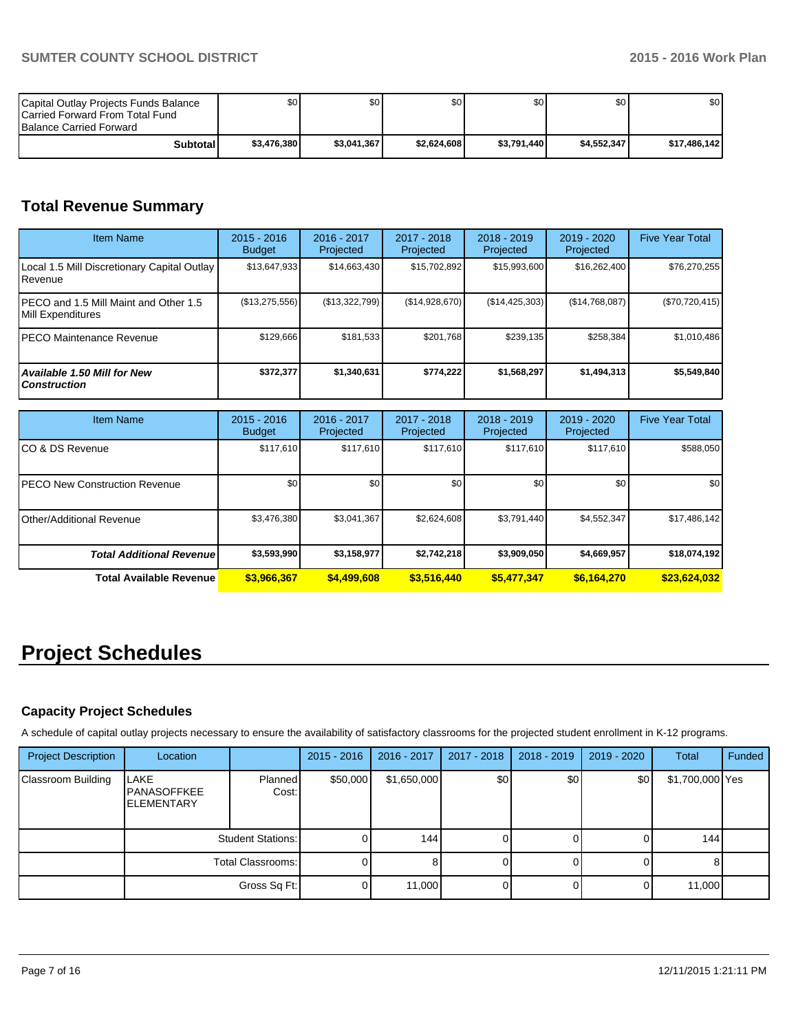| Capital Outlay Projects Funds Balance<br><b>ICarried Forward From Total Fund</b><br><b>Balance Carried Forward</b> | \$O I       | ا 30        | \$0         | ا 30        | <b>\$0</b>  | \$0          |
|--------------------------------------------------------------------------------------------------------------------|-------------|-------------|-------------|-------------|-------------|--------------|
| Subtotal                                                                                                           | \$3,476,380 | \$3.041.367 | \$2.624.608 | \$3,791,440 | \$4.552.347 | \$17,486,142 |

# **Total Revenue Summary**

| <b>Item Name</b>                                           | $2015 - 2016$<br><b>Budget</b> | $2016 - 2017$<br>Projected | $2017 - 2018$<br>Projected | $2018 - 2019$<br>Projected | $2019 - 2020$<br>Projected | <b>Five Year Total</b> |
|------------------------------------------------------------|--------------------------------|----------------------------|----------------------------|----------------------------|----------------------------|------------------------|
| Local 1.5 Mill Discretionary Capital Outlay<br>Revenue     | \$13,647,933                   | \$14,663,430               | \$15,702,892               | \$15,993,600               | \$16,262,400               | \$76,270,255           |
| PECO and 1.5 Mill Maint and Other 1.5<br>Mill Expenditures | (\$13,275,556)                 | (S13.322.799)              | (\$14,928,670)             | (S14, 425, 303)            | (S14, 768, 087)            | $(\$70,720,415)$       |
| IPECO Maintenance Revenue                                  | \$129.666                      | \$181.533                  | \$201.768                  | \$239,135                  | \$258,384                  | \$1,010,486            |
| <b>Available 1.50 Mill for New</b><br><b>Construction</b>  | \$372,377                      | \$1,340,631                | \$774.222                  | \$1,568,297                | \$1,494,313                | \$5,549,840            |

| <b>Item Name</b>                      | $2015 - 2016$<br><b>Budget</b> | 2016 - 2017<br>Projected | $2017 - 2018$<br>Projected | $2018 - 2019$<br>Projected | 2019 - 2020<br>Projected | <b>Five Year Total</b> |
|---------------------------------------|--------------------------------|--------------------------|----------------------------|----------------------------|--------------------------|------------------------|
| ICO & DS Revenue                      | \$117,610                      | \$117,610                | \$117.610                  | \$117,610                  | \$117.610                | \$588,050              |
| <b>IPECO New Construction Revenue</b> | \$0 <sub>1</sub>               | \$0                      | \$0 <sub>1</sub>           | \$0                        | \$0                      | \$0 <sub>1</sub>       |
| <b>IOther/Additional Revenue</b>      | \$3,476,380                    | \$3,041,367              | \$2,624,608                | \$3.791.440                | \$4,552,347              | \$17,486,142           |
| <b>Total Additional Revenuel</b>      | \$3,593,990                    | \$3,158,977              | \$2,742,218                | \$3,909,050                | \$4,669,957              | \$18,074,192           |
| Total Available Revenue               | \$3,966,367                    | \$4,499,608              | \$3,516,440                | \$5,477,347                | \$6,164,270              | \$23,624,032           |

# **Project Schedules**

# **Capacity Project Schedules**

A schedule of capital outlay projects necessary to ensure the availability of satisfactory classrooms for the projected student enrollment in K-12 programs.

| <b>Project Description</b> | Location                                         |                          | $2015 - 2016$ | 2016 - 2017 | $2017 - 2018$ | $2018 - 2019$ | 2019 - 2020 | Total           | Funded |
|----------------------------|--------------------------------------------------|--------------------------|---------------|-------------|---------------|---------------|-------------|-----------------|--------|
| Classroom Building         | LAKE<br><b>PANASOFFKEE</b><br><b>IELEMENTARY</b> | Planned<br>Cost:         | \$50,000      | \$1,650,000 | \$0           | \$0           | \$0         | \$1,700,000 Yes |        |
|                            |                                                  | <b>Student Stations:</b> |               | 144         |               |               |             | 144             |        |
|                            |                                                  | Total Classrooms:        |               |             |               |               |             | 8               |        |
|                            |                                                  | Gross Sq Ft:             |               | 11,000      |               |               |             | 11,000          |        |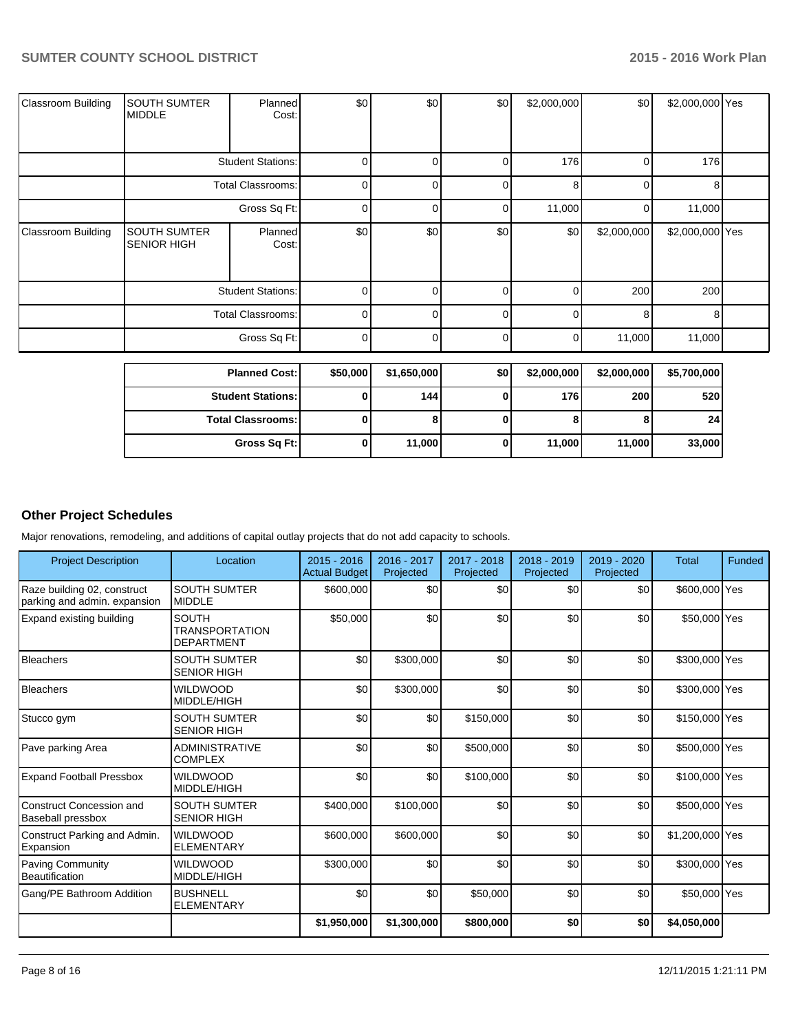| <b>Classroom Building</b> | <b>SOUTH SUMTER</b><br><b>MIDDLE</b>      | Planned<br>Cost:         | \$0      | \$0         | \$0      | \$2,000,000 | \$0         | \$2,000,000 Yes |  |
|---------------------------|-------------------------------------------|--------------------------|----------|-------------|----------|-------------|-------------|-----------------|--|
|                           |                                           | <b>Student Stations:</b> | $\Omega$ | ∩           | $\Omega$ | 176         | 0           | 176             |  |
|                           | <b>Total Classrooms:</b>                  |                          | $\Omega$ | n           | $\Omega$ | 8           | $\Omega$    | 8               |  |
|                           | Gross Sq Ft:                              |                          | $\Omega$ | n           | 0        | 11,000      | 0           | 11,000          |  |
| <b>Classroom Building</b> | <b>SOUTH SUMTER</b><br><b>SENIOR HIGH</b> | <b>Planned</b><br>Cost:  | \$0      | \$0         | \$0      | \$0         | \$2,000,000 | \$2,000,000 Yes |  |
|                           |                                           | <b>Student Stations:</b> | 0        |             | $\Omega$ |             | 200         | 200             |  |
|                           |                                           | <b>Total Classrooms:</b> | 0        |             | $\Omega$ |             | 8           | 8               |  |
|                           |                                           | Gross Sq Ft:             | $\Omega$ | U           | $\Omega$ | 0           | 11,000      | 11,000          |  |
|                           | <b>Planned Cost:</b>                      |                          | \$50,000 | \$1,650,000 | \$0      | \$2,000,000 | \$2,000,000 | \$5,700,000     |  |

| Fianneu Cost.i           | <b>JJU,UUU I</b> | <b>UUU,UUU,IG</b> | - JU | <b>P</b> Z,UUU,UUU | 42,000,0001 | 99,000,0001     |
|--------------------------|------------------|-------------------|------|--------------------|-------------|-----------------|
| <b>Student Stations:</b> |                  | 144 l             |      | 176                | 200         | 520             |
| <b>Total Classrooms:</b> |                  |                   |      | o                  |             | 24 <sub>1</sub> |
| Gross Sq Ft:             |                  | 11.000            |      | 11,000             | 11.000      | 33,000          |

# **Other Project Schedules**

Major renovations, remodeling, and additions of capital outlay projects that do not add capacity to schools.

| <b>Project Description</b>                                  | Location                                                   | $2015 - 2016$<br><b>Actual Budget</b> | 2016 - 2017<br>Projected | 2017 - 2018<br>Projected | 2018 - 2019<br>Projected | 2019 - 2020<br>Projected | <b>Total</b>    | Funded |
|-------------------------------------------------------------|------------------------------------------------------------|---------------------------------------|--------------------------|--------------------------|--------------------------|--------------------------|-----------------|--------|
| Raze building 02, construct<br>parking and admin. expansion | <b>SOUTH SUMTER</b><br><b>MIDDLE</b>                       | \$600,000                             | \$0                      | \$0                      | \$0                      | \$0                      | \$600,000 Yes   |        |
| Expand existing building                                    | <b>SOUTH</b><br><b>TRANSPORTATION</b><br><b>DEPARTMENT</b> | \$50,000                              | \$0                      | \$0                      | \$0                      | \$0                      | \$50,000 Yes    |        |
| Bleachers                                                   | <b>SOUTH SUMTER</b><br><b>SENIOR HIGH</b>                  | \$0                                   | \$300,000                | \$0                      | \$0                      | \$0                      | \$300,000 Yes   |        |
| <b>Bleachers</b>                                            | <b>WILDWOOD</b><br>MIDDLE/HIGH                             | \$0                                   | \$300,000                | \$0                      | \$0                      | \$0                      | \$300,000 Yes   |        |
| Stucco gym                                                  | <b>SOUTH SUMTER</b><br><b>SENIOR HIGH</b>                  | \$0                                   | \$0                      | \$150,000                | \$0                      | \$0                      | \$150,000 Yes   |        |
| Pave parking Area                                           | <b>ADMINISTRATIVE</b><br><b>COMPLEX</b>                    | \$0                                   | 30                       | \$500,000                | \$0                      | \$0                      | \$500,000 Yes   |        |
| <b>Expand Football Pressbox</b>                             | <b>WILDWOOD</b><br>MIDDLE/HIGH                             | \$0                                   | \$0                      | \$100,000                | \$0                      | \$0                      | \$100,000 Yes   |        |
| Construct Concession and<br><b>Baseball pressbox</b>        | SOUTH SUMTER<br><b>SENIOR HIGH</b>                         | \$400,000                             | \$100,000                | \$0                      | \$0                      | \$0                      | \$500,000 Yes   |        |
| Construct Parking and Admin.<br>Expansion                   | <b>WILDWOOD</b><br><b>ELEMENTARY</b>                       | \$600,000                             | \$600,000                | \$0                      | \$0                      | \$0                      | \$1,200,000 Yes |        |
| <b>Paving Community</b><br>Beautification                   | <b>WILDWOOD</b><br>MIDDLE/HIGH                             | \$300,000                             | \$0                      | \$0                      | \$0                      | \$0                      | \$300,000 Yes   |        |
| Gang/PE Bathroom Addition                                   | <b>BUSHNELL</b><br><b>ELEMENTARY</b>                       | \$0                                   | \$0                      | \$50,000                 | \$0                      | \$0                      | \$50,000 Yes    |        |
|                                                             |                                                            | \$1,950,000                           | \$1,300,000              | \$800,000                | \$0                      | \$0                      | \$4,050,000     |        |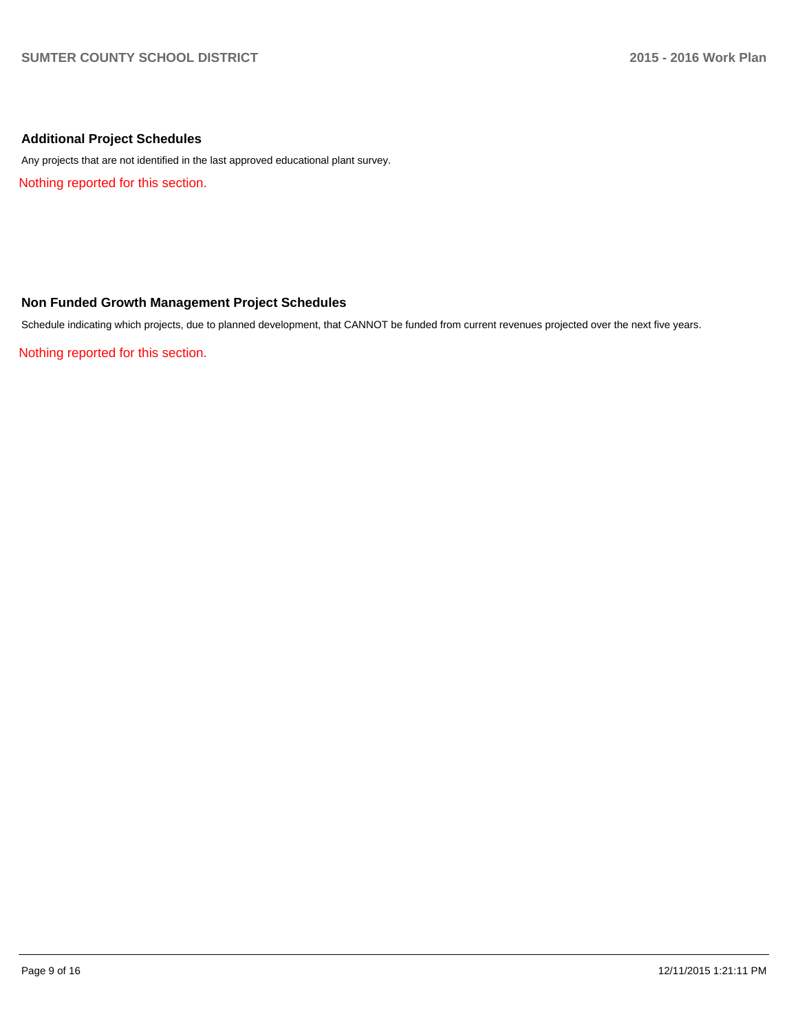# **Additional Project Schedules**

Any projects that are not identified in the last approved educational plant survey.

Nothing reported for this section.

# **Non Funded Growth Management Project Schedules**

Schedule indicating which projects, due to planned development, that CANNOT be funded from current revenues projected over the next five years.

Nothing reported for this section.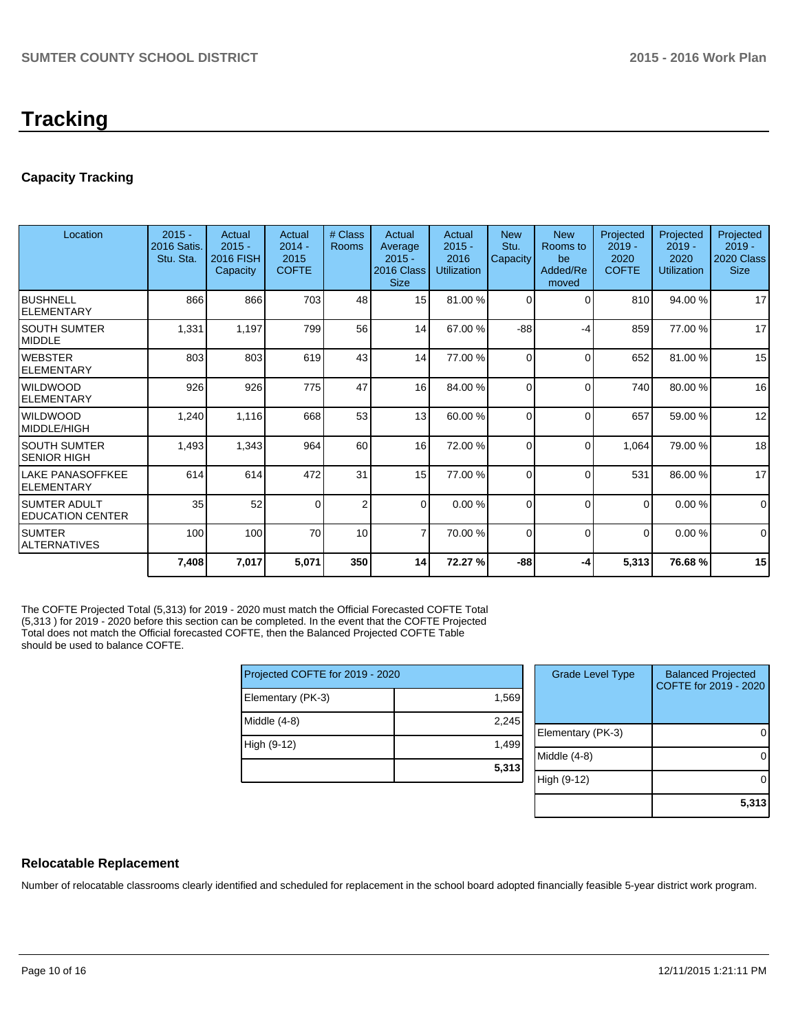# **Tracking**

# **Capacity Tracking**

| Location                                       | $2015 -$<br><b>2016 Satis.</b><br>Stu. Sta. | Actual<br>$2015 -$<br><b>2016 FISH</b><br>Capacity | Actual<br>$2014 -$<br>2015<br><b>COFTE</b> | # Class<br>Rooms | Actual<br>Average<br>$2015 -$<br>2016 Class<br><b>Size</b> | Actual<br>$2015 -$<br>2016<br><b>Utilization</b> | <b>New</b><br>Stu.<br>Capacity | <b>New</b><br>Rooms to<br>be<br>Added/Re<br>moved | Projected<br>$2019 -$<br>2020<br><b>COFTE</b> | Projected<br>$2019 -$<br>2020<br>Utilization | Projected<br>$2019 -$<br><b>2020 Class</b><br><b>Size</b> |
|------------------------------------------------|---------------------------------------------|----------------------------------------------------|--------------------------------------------|------------------|------------------------------------------------------------|--------------------------------------------------|--------------------------------|---------------------------------------------------|-----------------------------------------------|----------------------------------------------|-----------------------------------------------------------|
| IBUSHNELL<br><b>ELEMENTARY</b>                 | 866                                         | 866                                                | 703                                        | 48               | 15 <sup>1</sup>                                            | 81.00 %                                          | $\Omega$                       | 0                                                 | 810                                           | 94.00 %                                      | 17                                                        |
| ISOUTH SUMTER<br><b>IMIDDLE</b>                | 1,331                                       | 1,197                                              | 799                                        | 56               | 14                                                         | 67.00 %                                          | $-88$                          | -4                                                | 859                                           | 77.00 %                                      | 17                                                        |
| <b>IWEBSTER</b><br>lelementary                 | 803                                         | 803                                                | 619                                        | 43               | 14                                                         | 77.00 %                                          | $\Omega$                       | $\Omega$                                          | 652                                           | 81.00%                                       | 15                                                        |
| <b>I</b> WILDWOOD<br>ELEMENTARY                | 926                                         | 926                                                | 775                                        | 47               | 16                                                         | 84.00 %                                          | $\Omega$                       | $\Omega$                                          | 740                                           | 80.00 %                                      | 16                                                        |
| <b>I</b> WILDWOOD<br>MIDDLE/HIGH               | 1,240                                       | 1,116                                              | 668                                        | 53               | 13                                                         | 60.00 %                                          | $\Omega$                       | $\Omega$                                          | 657                                           | 59.00 %                                      | 12                                                        |
| ISOUTH SUMTER<br><b>SENIOR HIGH</b>            | 1,493                                       | 1,343                                              | 964                                        | 60               | 16                                                         | 72.00 %                                          | $\Omega$                       | 0                                                 | 1,064                                         | 79.00 %                                      | 18                                                        |
| llake panasoffkee<br><b>ELEMENTARY</b>         | 614                                         | 614                                                | 472                                        | 31               | 15 <sup>1</sup>                                            | 77.00 %                                          | $\Omega$                       | 0                                                 | 531                                           | 86.00 %                                      | 17                                                        |
| <b>SUMTER ADULT</b><br><b>EDUCATION CENTER</b> | 35                                          | 52                                                 | $\Omega$                                   | $\overline{2}$   | $\Omega$                                                   | 0.00%                                            | $\Omega$                       | $\Omega$                                          | $\Omega$                                      | 0.00%                                        | $\mathbf{0}$                                              |
| ISUMTER<br>IALTERNATIVES                       | 100                                         | 100                                                | 70                                         | 10               | $\overline{7}$                                             | 70.00 %                                          | $\Omega$                       | $\Omega$                                          | $\Omega$                                      | 0.00%                                        | $\Omega$                                                  |
|                                                | 7,408                                       | 7,017                                              | 5,071                                      | 350              | 14                                                         | 72.27 %                                          | -88                            | -4                                                | 5,313                                         | 76.68%                                       | 15                                                        |

The COFTE Projected Total (5,313) for 2019 - 2020 must match the Official Forecasted COFTE Total (5,313 ) for 2019 - 2020 before this section can be completed. In the event that the COFTE Projected Total does not match the Official forecasted COFTE, then the Balanced Projected COFTE Table should be used to balance COFTE.

| Projected COFTE for 2019 - 2020 |       |  |  |  |  |
|---------------------------------|-------|--|--|--|--|
| Elementary (PK-3)               | 1,569 |  |  |  |  |
| Middle (4-8)                    | 2,245 |  |  |  |  |
| High (9-12)                     | 1,499 |  |  |  |  |
|                                 | 5,313 |  |  |  |  |

| <b>Grade Level Type</b> | <b>Balanced Projected</b><br>COFTE for 2019 - 2020 |
|-------------------------|----------------------------------------------------|
| Elementary (PK-3)       |                                                    |
| Middle $(4-8)$          |                                                    |
| High (9-12)             |                                                    |
|                         | 5,313                                              |

# **Relocatable Replacement**

Number of relocatable classrooms clearly identified and scheduled for replacement in the school board adopted financially feasible 5-year district work program.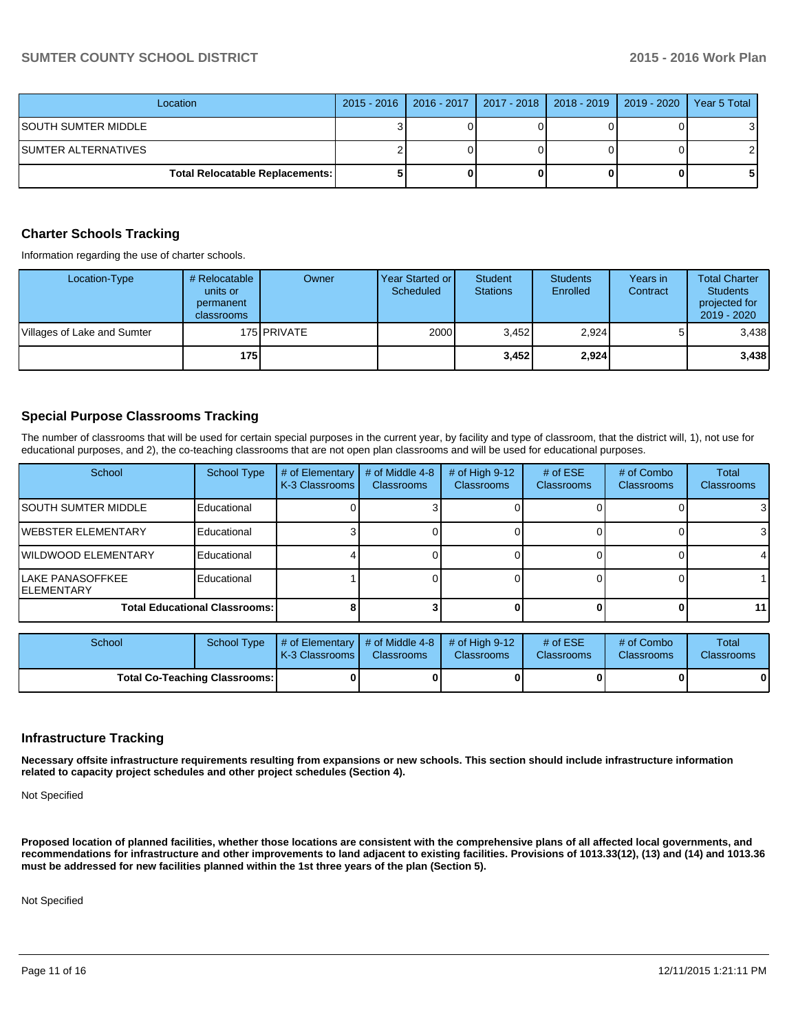# **SUMTER COUNTY SCHOOL DISTRICT 2015 - 2016 Work Plan**

| Location                               | 2015 - 2016   2016 - 2017   2017 - 2018   2018 - 2019   2019 - 2020 |  | Year 5 Total |
|----------------------------------------|---------------------------------------------------------------------|--|--------------|
| ISOUTH SUMTER MIDDLE                   |                                                                     |  | 31           |
| ISUMTER ALTERNATIVES                   |                                                                     |  |              |
| <b>Total Relocatable Replacements:</b> |                                                                     |  | 51           |

# **Charter Schools Tracking**

Information regarding the use of charter schools.

| Location-Type               | # Relocatable<br>units or<br>permanent<br>classrooms | Owner              | Year Started or I<br>Scheduled | <b>Student</b><br><b>Stations</b> | <b>Students</b><br>Enrolled | Years in<br>Contract | <b>Total Charter</b><br><b>Students</b><br>projected for<br>$2019 - 2020$ |
|-----------------------------|------------------------------------------------------|--------------------|--------------------------------|-----------------------------------|-----------------------------|----------------------|---------------------------------------------------------------------------|
| Villages of Lake and Sumter |                                                      | 175 <b>PRIVATE</b> | 2000                           | 3.452                             | 2,924                       |                      | 3,438                                                                     |
|                             | 175                                                  |                    |                                | 3.452                             | 2,924                       |                      | 3,438                                                                     |

# **Special Purpose Classrooms Tracking**

The number of classrooms that will be used for certain special purposes in the current year, by facility and type of classroom, that the district will, 1), not use for educational purposes, and 2), the co-teaching classrooms that are not open plan classrooms and will be used for educational purposes.

| School                                  | School Type                          | # of Elementary<br>K-3 Classrooms | # of Middle 4-8<br><b>Classrooms</b> | # of High $9-12$<br><b>Classrooms</b> | # of $ESE$<br>Classrooms | # of Combo<br><b>Classrooms</b> | <b>Total</b><br><b>Classrooms</b> |
|-----------------------------------------|--------------------------------------|-----------------------------------|--------------------------------------|---------------------------------------|--------------------------|---------------------------------|-----------------------------------|
| ISOUTH SUMTER MIDDLE                    | Educational                          |                                   |                                      |                                       |                          |                                 | 3                                 |
| IWEBSTER ELEMENTARY                     | Educational                          |                                   |                                      |                                       |                          |                                 | 3                                 |
| <b>IWILDWOOD ELEMENTARY</b>             | Educational                          |                                   |                                      |                                       |                          |                                 | 4                                 |
| lLAKE PANASOFFKEE<br><b>IELEMENTARY</b> | Educational                          |                                   |                                      |                                       |                          |                                 |                                   |
|                                         | <b>Total Educational Classrooms:</b> |                                   |                                      |                                       |                          |                                 | 11 <sup>1</sup>                   |

| School                               | School Type | $\parallel$ # of Elementary $\parallel$ # of Middle 4-8 $\parallel$ # of High 9-12<br><b>IK-3 Classrooms I</b> | <b>Classrooms</b> | <b>Classrooms</b> | # of $ESE$<br><b>Classrooms</b> | # of Combo<br><b>Classrooms</b> | Total<br><b>Classrooms</b> |
|--------------------------------------|-------------|----------------------------------------------------------------------------------------------------------------|-------------------|-------------------|---------------------------------|---------------------------------|----------------------------|
| <b>Total Co-Teaching Classrooms:</b> |             |                                                                                                                |                   |                   |                                 | 0                               | 0                          |

#### **Infrastructure Tracking**

**Necessary offsite infrastructure requirements resulting from expansions or new schools. This section should include infrastructure information related to capacity project schedules and other project schedules (Section 4).**

Not Specified

**Proposed location of planned facilities, whether those locations are consistent with the comprehensive plans of all affected local governments, and recommendations for infrastructure and other improvements to land adjacent to existing facilities. Provisions of 1013.33(12), (13) and (14) and 1013.36 must be addressed for new facilities planned within the 1st three years of the plan (Section 5).**

Not Specified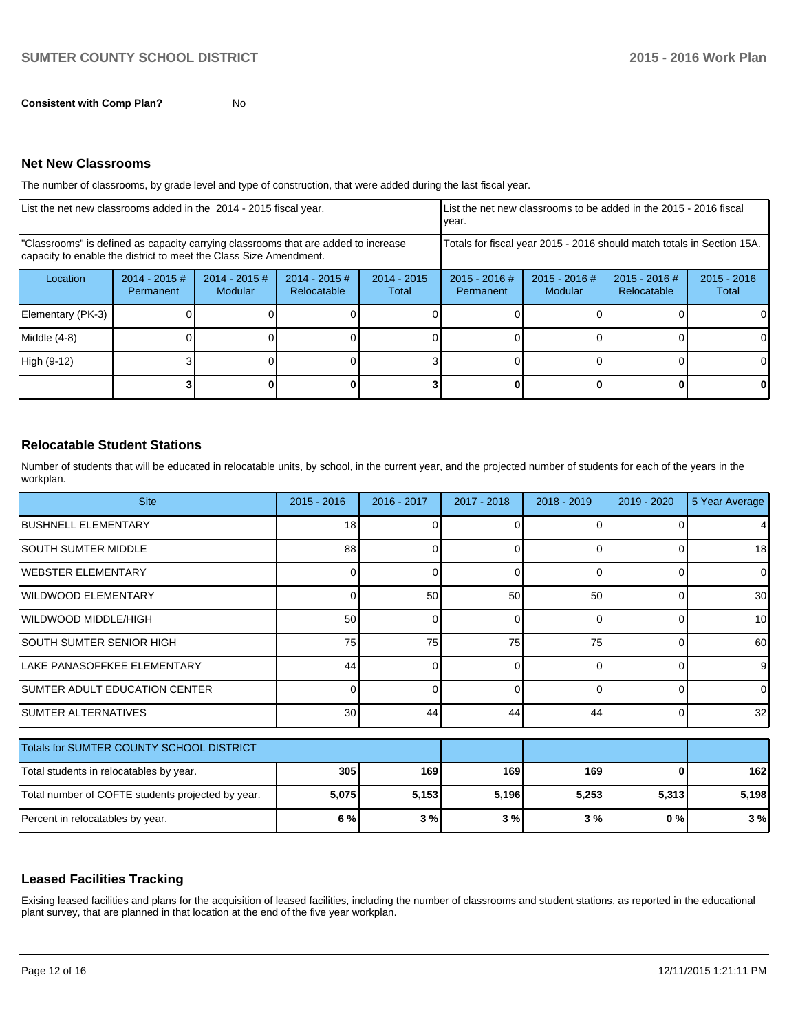The number of classrooms, by grade level and type of construction, that were added during the last fiscal year.

| List the net new classrooms added in the 2014 - 2015 fiscal year.                                                                                       |                               |                            |                                |                        | vear.                                                                  |                                 | List the net new classrooms to be added in the 2015 - 2016 fiscal |                        |
|---------------------------------------------------------------------------------------------------------------------------------------------------------|-------------------------------|----------------------------|--------------------------------|------------------------|------------------------------------------------------------------------|---------------------------------|-------------------------------------------------------------------|------------------------|
| "Classrooms" is defined as capacity carrying classrooms that are added to increase<br>capacity to enable the district to meet the Class Size Amendment. |                               |                            |                                |                        | Totals for fiscal year 2015 - 2016 should match totals in Section 15A. |                                 |                                                                   |                        |
| Location                                                                                                                                                | $2014 - 2015 \#$<br>Permanent | $2014 - 2015$ #<br>Modular | $2014 - 2015$ #<br>Relocatable | $2014 - 2015$<br>Total | $2015 - 2016$ #<br>Permanent                                           | 2015 - 2016 #<br><b>Modular</b> | 2015 - 2016 #<br><b>Relocatable</b>                               | $2015 - 2016$<br>Total |
| Elementary (PK-3)                                                                                                                                       |                               |                            |                                |                        |                                                                        |                                 |                                                                   |                        |
| Middle (4-8)                                                                                                                                            |                               |                            |                                |                        |                                                                        |                                 |                                                                   |                        |
| High (9-12)                                                                                                                                             |                               |                            |                                |                        |                                                                        |                                 |                                                                   |                        |
|                                                                                                                                                         |                               |                            |                                |                        |                                                                        |                                 |                                                                   | 0                      |

# **Relocatable Student Stations**

Number of students that will be educated in relocatable units, by school, in the current year, and the projected number of students for each of the years in the workplan.

| <b>Site</b>                                       | $2015 - 2016$   | 2016 - 2017 | 2017 - 2018 | $2018 - 2019$ | 2019 - 2020 | 5 Year Average  |
|---------------------------------------------------|-----------------|-------------|-------------|---------------|-------------|-----------------|
| <b>BUSHNELL ELEMENTARY</b>                        | 18 <sup>1</sup> |             | n           | O             |             | 4               |
| <b>SOUTH SUMTER MIDDLE</b>                        | 88              | n           | 0           | $\Omega$      | $\Omega$    | 18 <sup>l</sup> |
| IWEBSTER ELEMENTARY                               | 0               |             | 0           | $\Omega$      | 0           | $\overline{0}$  |
| WILDWOOD ELEMENTARY                               |                 | 50          | 50          | 50            | $\Omega$    | 30              |
| WILDWOOD MIDDLE/HIGH                              | 50 <sub>1</sub> | 0           | 0           | $\Omega$      | 0           | 10 <sup>1</sup> |
| SOUTH SUMTER SENIOR HIGH                          | 75              | 75          | 75          | 75            | 0           | 60              |
| LAKE PANASOFFKEE ELEMENTARY                       | 44              | n           | 0           | $\Omega$      | $\Omega$    | 9               |
| <b>SUMTER ADULT EDUCATION CENTER</b>              | 0               | n           | 0           | $\Omega$      | $\Omega$    | $\overline{0}$  |
| <b>SUMTER ALTERNATIVES</b>                        | 30 <sup>1</sup> | 44          | 44          | 44            | $\Omega$    | 32              |
| Totals for SUMTER COUNTY SCHOOL DISTRICT          |                 |             |             |               |             |                 |
| Total students in relocatables by year.           | 305             | 169         | 169         | 169           | 0           | 162             |
| Total number of COFTE students projected by year. | 5,075           | 5,153       | 5,196       | 5,253         | 5,313       | 5,198           |
| Percent in relocatables by year.                  | 6%              | 3%          | 3%          | 3%            | 0%          | 3%              |

# **Leased Facilities Tracking**

Exising leased facilities and plans for the acquisition of leased facilities, including the number of classrooms and student stations, as reported in the educational plant survey, that are planned in that location at the end of the five year workplan.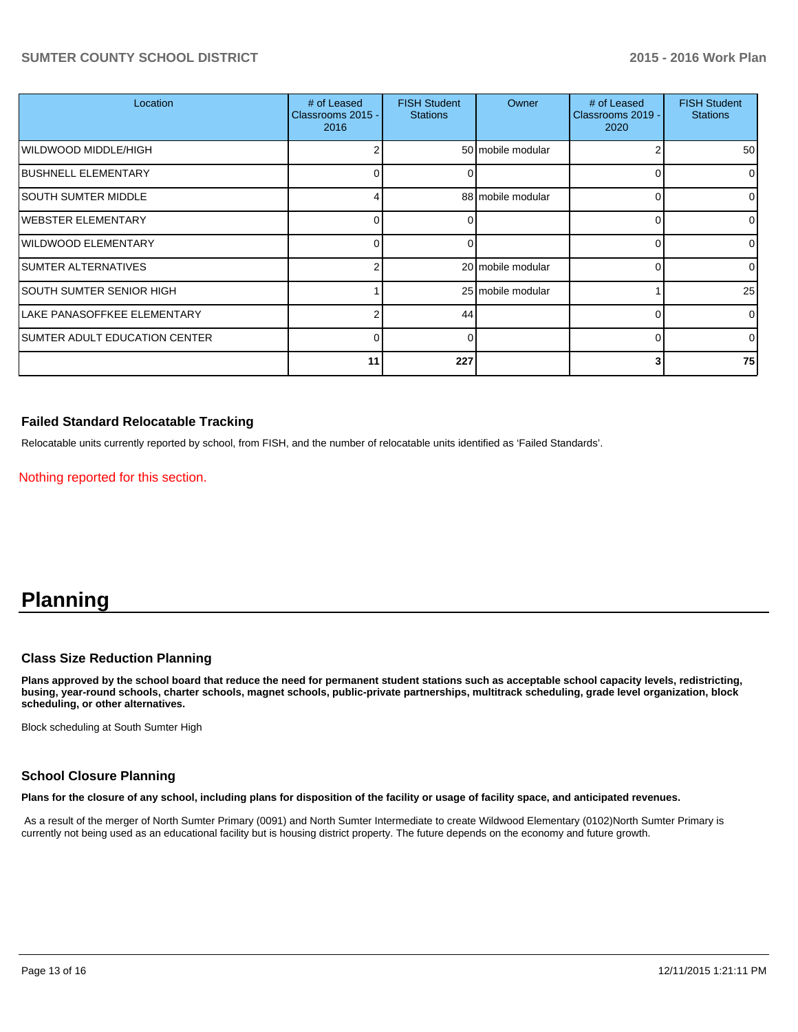# **SUMTER COUNTY SCHOOL DISTRICT 2015 - 2016 Work Plan**

| Location                      | # of Leased<br>Classrooms 2015 -<br>2016 | <b>FISH Student</b><br><b>Stations</b> | Owner             | # of Leased<br>Classrooms 2019 -<br>2020 | <b>FISH Student</b><br><b>Stations</b> |
|-------------------------------|------------------------------------------|----------------------------------------|-------------------|------------------------------------------|----------------------------------------|
| WILDWOOD MIDDLE/HIGH          |                                          |                                        | 50 mobile modular | 2                                        | 50 <sup>1</sup>                        |
| <b>BUSHNELL ELEMENTARY</b>    | U                                        |                                        |                   |                                          | $\overline{0}$                         |
| <b>SOUTH SUMTER MIDDLE</b>    |                                          |                                        | 88 mobile modular | 0                                        | 01                                     |
| <b>WEBSTER ELEMENTARY</b>     | 0                                        |                                        |                   |                                          | $\overline{0}$                         |
| <b>WILDWOOD ELEMENTARY</b>    | $\Omega$                                 |                                        |                   | 0                                        | $\overline{0}$                         |
| SUMTER ALTERNATIVES           |                                          |                                        | 20 mobile modular | 0                                        | $\overline{0}$                         |
| SOUTH SUMTER SENIOR HIGH      |                                          |                                        | 25 mobile modular |                                          | 25                                     |
| LAKE PANASOFFKEE ELEMENTARY   | っ                                        | 44                                     |                   |                                          | $\overline{0}$                         |
| SUMTER ADULT EDUCATION CENTER | $\Omega$                                 | U                                      |                   | ი                                        | $\Omega$                               |
|                               | 11                                       | 227                                    |                   |                                          | <b>75</b>                              |

# **Failed Standard Relocatable Tracking**

Relocatable units currently reported by school, from FISH, and the number of relocatable units identified as 'Failed Standards'.

Nothing reported for this section.

# **Planning**

# **Class Size Reduction Planning**

**Plans approved by the school board that reduce the need for permanent student stations such as acceptable school capacity levels, redistricting, busing, year-round schools, charter schools, magnet schools, public-private partnerships, multitrack scheduling, grade level organization, block scheduling, or other alternatives.**

Block scheduling at South Sumter High

# **School Closure Planning**

**Plans for the closure of any school, including plans for disposition of the facility or usage of facility space, and anticipated revenues.**

 As a result of the merger of North Sumter Primary (0091) and North Sumter Intermediate to create Wildwood Elementary (0102)North Sumter Primary is currently not being used as an educational facility but is housing district property. The future depends on the economy and future growth.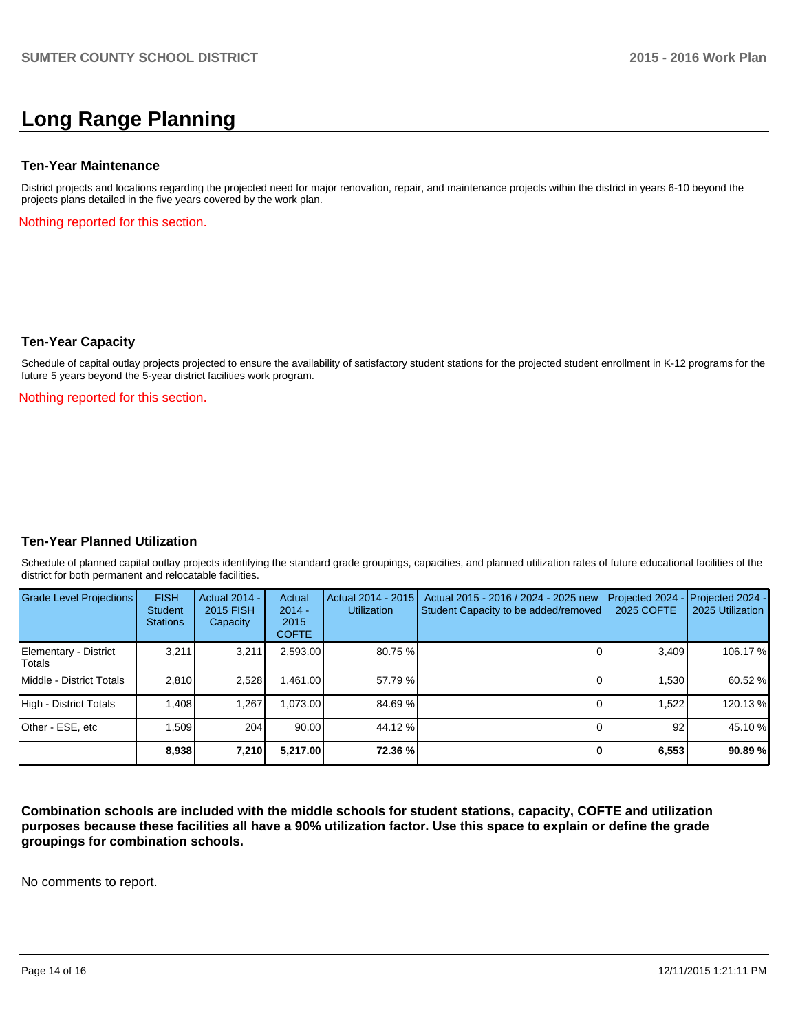# **Long Range Planning**

#### **Ten-Year Maintenance**

District projects and locations regarding the projected need for major renovation, repair, and maintenance projects within the district in years 6-10 beyond the projects plans detailed in the five years covered by the work plan.

Nothing reported for this section.

#### **Ten-Year Capacity**

Schedule of capital outlay projects projected to ensure the availability of satisfactory student stations for the projected student enrollment in K-12 programs for the future 5 years beyond the 5-year district facilities work program.

Nothing reported for this section.

# **Ten-Year Planned Utilization**

Schedule of planned capital outlay projects identifying the standard grade groupings, capacities, and planned utilization rates of future educational facilities of the district for both permanent and relocatable facilities.

| Grade Level Projections         | <b>FISH</b><br>Student<br><b>Stations</b> | Actual 2014 -<br>2015 FISH<br>Capacity | Actual<br>$2014 -$<br>2015<br><b>COFTE</b> | Actual 2014 - 2015<br><b>Utilization</b> | Actual 2015 - 2016 / 2024 - 2025 new<br>Student Capacity to be added/removed | Projected 2024<br>2025 COFTE | Projected 2024 -<br>2025 Utilization |
|---------------------------------|-------------------------------------------|----------------------------------------|--------------------------------------------|------------------------------------------|------------------------------------------------------------------------------|------------------------------|--------------------------------------|
| Elementary - District<br>Totals | 3,211                                     | 3,211                                  | 2,593.00                                   | 80.75 %                                  |                                                                              | 3,409                        | 106.17 %                             |
| Middle - District Totals        | 2.810                                     | 2,528                                  | .461.00                                    | 57.79 %                                  |                                                                              | 1,530                        | 60.52 %                              |
| High - District Totals          | 1.408                                     | 1.267                                  | .073.00                                    | 84.69 %                                  |                                                                              | 1.522                        | 120.13 %                             |
| Other - ESE, etc                | 1.509                                     | 204                                    | 90.00                                      | 44.12 %                                  |                                                                              | 92                           | 45.10 %                              |
|                                 | 8,938                                     | 7,210                                  | 5,217.00                                   | 72.36 %                                  |                                                                              | 6,553                        | 90.89%                               |

**Combination schools are included with the middle schools for student stations, capacity, COFTE and utilization purposes because these facilities all have a 90% utilization factor. Use this space to explain or define the grade groupings for combination schools.**

No comments to report.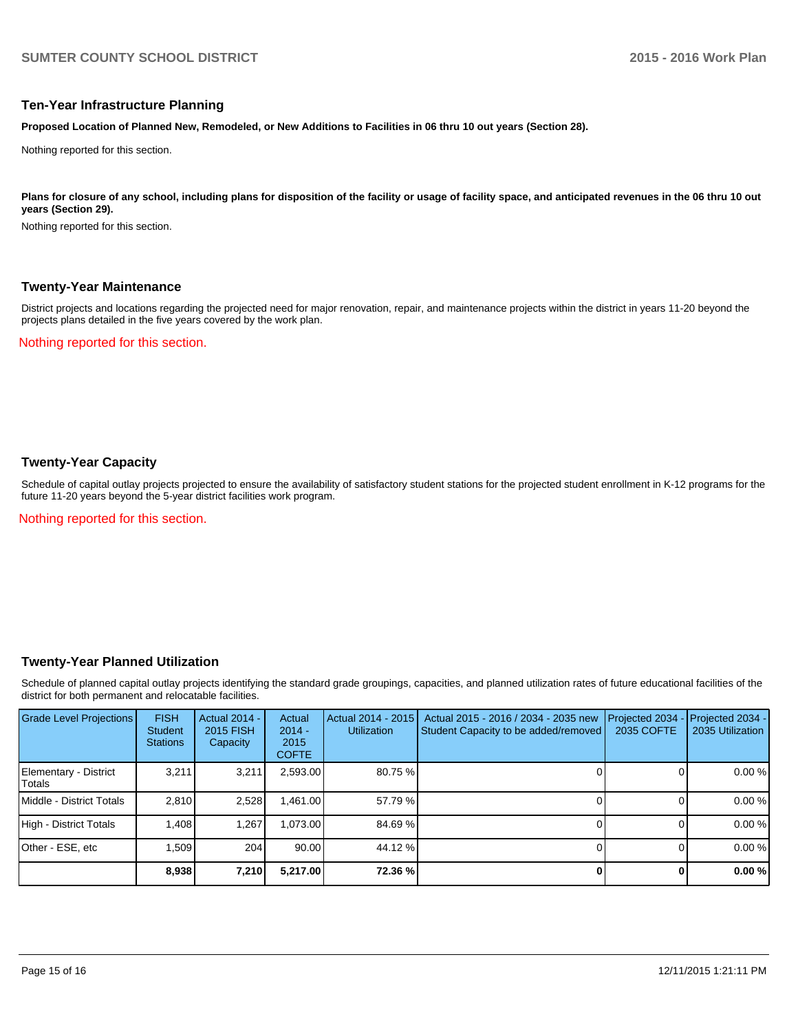### **Ten-Year Infrastructure Planning**

**Proposed Location of Planned New, Remodeled, or New Additions to Facilities in 06 thru 10 out years (Section 28).**

Nothing reported for this section.

Plans for closure of any school, including plans for disposition of the facility or usage of facility space, and anticipated revenues in the 06 thru 10 out **years (Section 29).**

Nothing reported for this section.

### **Twenty-Year Maintenance**

District projects and locations regarding the projected need for major renovation, repair, and maintenance projects within the district in years 11-20 beyond the projects plans detailed in the five years covered by the work plan.

Nothing reported for this section.

# **Twenty-Year Capacity**

Schedule of capital outlay projects projected to ensure the availability of satisfactory student stations for the projected student enrollment in K-12 programs for the future 11-20 years beyond the 5-year district facilities work program.

Nothing reported for this section.

# **Twenty-Year Planned Utilization**

Schedule of planned capital outlay projects identifying the standard grade groupings, capacities, and planned utilization rates of future educational facilities of the district for both permanent and relocatable facilities.

| <b>Grade Level Projections</b>   | <b>FISH</b><br><b>Student</b><br><b>Stations</b> | <b>Actual 2014 -</b><br>2015 FISH<br>Capacity | Actual<br>$2014 -$<br>2015<br><b>COFTE</b> | Actual 2014 - 2015<br>Utilization | Actual 2015 - 2016 / 2034 - 2035 new<br>Student Capacity to be added/removed | Projected 2034<br>2035 COFTE | Projected 2034 -<br>2035 Utilization |
|----------------------------------|--------------------------------------------------|-----------------------------------------------|--------------------------------------------|-----------------------------------|------------------------------------------------------------------------------|------------------------------|--------------------------------------|
| Elementary - District<br> Totals | 3.211                                            | 3,211                                         | 2,593.00                                   | 80.75%                            |                                                                              |                              | 0.00%                                |
| <b>IMiddle - District Totals</b> | 2.810                                            | 2,528                                         | 1,461.00                                   | 57.79 %                           |                                                                              |                              | 0.00%                                |
| High - District Totals           | 1.408                                            | 1.267                                         | 073.00                                     | 84.69 %                           |                                                                              |                              | 0.00%                                |
| Other - ESE, etc                 | 1,509                                            | 204                                           | 90.00                                      | 44.12 %                           |                                                                              |                              | 0.00%                                |
|                                  | 8,938                                            | 7,210                                         | 5,217.00                                   | 72.36 %                           |                                                                              |                              | 0.00%                                |